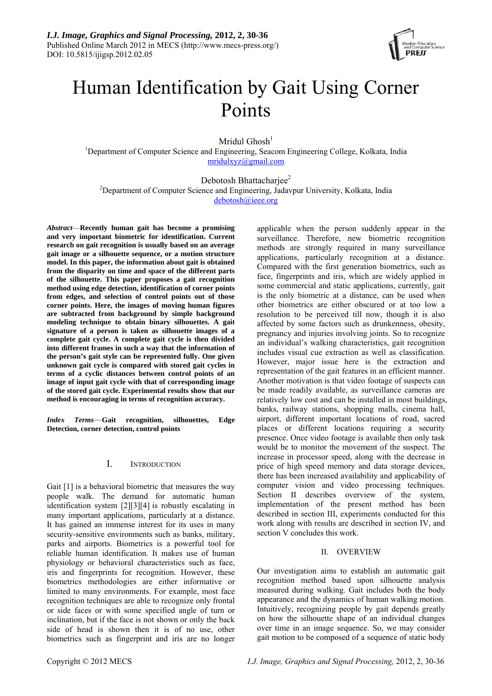

# Human Identification by Gait Using Corner Points

Mridul Ghosh $<sup>1</sup>$ </sup>

<sup>1</sup>Department of Computer Science and Engineering, Seacom Engineering College, Kolkata, India [mridulxyz@gmail.com](mailto:mridulxyz@gmail.com)

Debotosh Bhattacharjee<sup>2</sup> <sup>2</sup>Department of Computer Science and Engineering, Jadavpur University, Kolkata, India [debotosh@ieee.org](mailto:debotosh@ieee.org)

*Abstract*—**Recently human gait has become a promising and very important biometric for identification. Current research on gait recognition is usually based on an average gait image or a silhouette sequence, or a motion structure model. In this paper, the information about gait is obtained from the disparity on time and space of the different parts of the silhouette. This paper proposes a gait recognition method using edge detection, identification of corner points from edges, and selection of control points out of those corner points. Here, the images of moving human figures are subtracted from background by simple background modeling technique to obtain binary silhouettes. A gait signature of a person is taken as silhouette images of a complete gait cycle. A complete gait cycle is then divided into different frames in such a way that the information of the person's gait style can be represented fully. One given unknown gait cycle is compared with stored gait cycles in terms of a cyclic distances between control points of an image of input gait cycle with that of corresponding image of the stored gait cycle. Experimental results show that our method is encouraging in terms of recognition accuracy.**

*Index Terms*—**Gait recognition, silhouettes, Edge Detection, corner detection, control points**

# I. INTRODUCTION

Gait [1] is a behavioral biometric that measures the way people walk. The demand for automatic human identification system [2][3][4] is robustly escalating in many important applications, particularly at a distance. It has gained an immense interest for its uses in many security-sensitive environments such as banks, military, parks and airports. Biometrics is a powerful tool for reliable human identification. It makes use of human physiology or behavioral characteristics such as face, iris and fingerprints for recognition. However, these biometrics methodologies are either informative or limited to many environments. For example, most face recognition techniques are able to recognize only frontal or side faces or with some specified angle of turn or inclination, but if the face is not shown or only the back side of head is shown then it is of no use, other biometrics such as fingerprint and iris are no longer applicable when the person suddenly appear in the surveillance. Therefore, new biometric recognition methods are strongly required in many surveillance applications, particularly recognition at a distance. Compared with the first generation biometrics, such as face, fingerprints and iris, which are widely applied in some commercial and static applications, currently, gait is the only biometric at a distance, can be used when other biometrics are either obscured or at too low a resolution to be perceived till now, though it is also affected by some factors such as drunkenness, obesity, pregnancy and injuries involving joints. So to recognize an individual's walking characteristics, gait recognition includes visual cue extraction as well as classification. However, major issue here is the extraction and representation of the gait features in an efficient manner. Another motivation is that video footage of suspects can be made readily available, as surveillance cameras are relatively low cost and can be installed in most buildings, banks, railway stations, shopping malls, cinema hall, airport, different important locations of road, sacred places or different locations requiring a security presence. Once video footage is available then only task would be to monitor the movement of the suspect. The increase in processor speed, along with the decrease in price of high speed memory and data storage devices, there has been increased availability and applicability of computer vision and video processing techniques. Section II describes overview of the system, implementation of the present method has been described in section III, experiments conducted for this work along with results are described in section IV, and section V concludes this work.

# II. OVERVIEW

Our investigation aims to establish an automatic gait recognition method based upon silhouette analysis measured during walking. Gait includes both the body appearance and the dynamics of human walking motion. Intuitively, recognizing people by gait depends greatly on how the silhouette shape of an individual changes over time in an image sequence. So, we may consider gait motion to be composed of a sequence of static body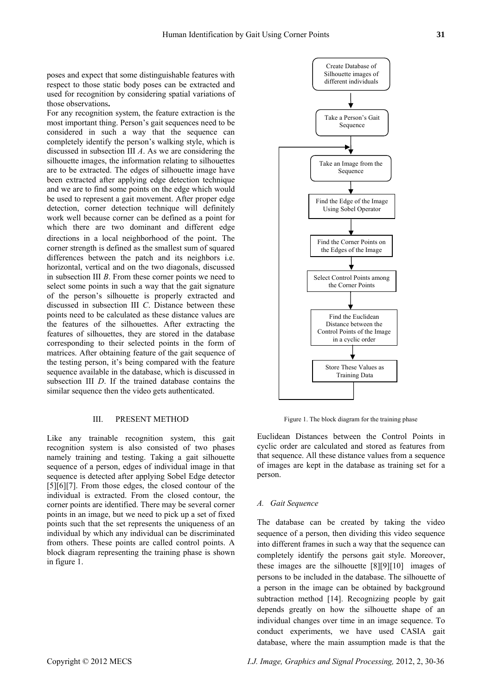poses and expect that some distinguishable features with respect to those static body poses can be extracted and used for recognition by considering spatial variations of those observations**.** 

For any recognition system, the feature extraction is the most important thing. Person's gait sequences need to be considered in such a way that the sequence can completely identify the person's walking style, which is discussed in subsection III *A*. As we are considering the silhouette images, the information relating to silhouettes are to be extracted. The edges of silhouette image have been extracted after applying edge detection technique and we are to find some points on the edge which would be used to represent a gait movement. After proper edge detection, corner detection technique will definitely work well because corner can be defined as a point for which there are two dominant and different edge directions in a local neighborhood of the point. The corner strength is defined as the smallest sum of squared differences between the patch and its neighbors i.e. horizontal, vertical and on the two diagonals, discussed in subsection III *B*. From these corner points we need to select some points in such a way that the gait signature of the person's silhouette is properly extracted and discussed in subsection III *C*. Distance between these points need to be calculated as these distance values are the features of the silhouettes. After extracting the features of silhouettes, they are stored in the database corresponding to their selected points in the form of matrices. After obtaining feature of the gait sequence of the testing person, it's being compared with the feature sequence available in the database, which is discussed in subsection III *D*. If the trained database contains the similar sequence then the video gets authenticated.

Like any trainable recognition system, this gait recognition system is also consisted of two phases namely training and testing. Taking a gait silhouette sequence of a person, edges of individual image in that sequence is detected after applying Sobel Edge detector [5][6][7]. From those edges, the closed contour of the individual is extracted. From the closed contour, the corner points are identified. There may be several corner points in an image, but we need to pick up a set of fixed points such that the set represents the uniqueness of an individual by which any individual can be discriminated from others. These points are called control points. A block diagram representing the training phase is shown in figure 1.



III. PRESENT METHOD Figure 1. The block diagram for the training phase

Euclidean Distances between the Control Points in cyclic order are calculated and stored as features from that sequence. All these distance values from a sequence of images are kept in the database as training set for a person.

#### *A. Gait Sequence*

The database can be created by taking the video sequence of a person, then dividing this video sequence into different frames in such a way that the sequence can completely identify the persons gait style. Moreover, these images are the silhouette [8][9][10] images of persons to be included in the database. The silhouette of a person in the image can be obtained by background subtraction method [14]. Recognizing people by gait depends greatly on how the silhouette shape of an individual changes over time in an image sequence. To conduct experiments, we have used CASIA gait database, where the main assumption made is that the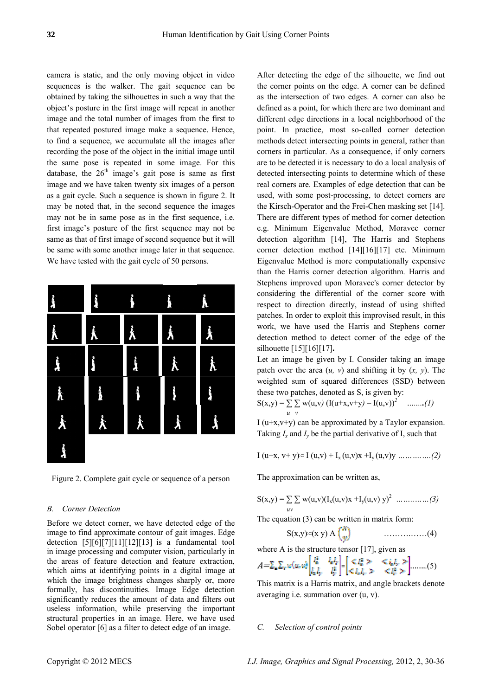camera is static, and the only moving object in video sequences is the walker. The gait sequence can be obtained by taking the silhouettes in such a way that the object's posture in the first image will repeat in another image and the total number of images from the first to that repeated postured image make a sequence. Hence, to find a sequence, we accumulate all the images after recording the pose of the object in the initial image until the same pose is repeated in some image. For this database, the  $26<sup>th</sup>$  image's gait pose is same as first image and we have taken twenty six images of a person as a gait cycle. Such a sequence is shown in figure 2. It may be noted that, in the second sequence the images may not be in same pose as in the first sequence, i.e. first image's posture of the first sequence may not be same as that of first image of second sequence but it will be same with some another image later in that sequence. We have tested with the gait cycle of 50 persons.



Figure 2. Complete gait cycle or sequence of a person The approximation can be written as,

### *B. Corner Detection uv*

Before we detect corner, we have detected edge of the  $\blacksquare$  The equation (3) can be written in matrix form: image to find approximate contour of gait images. Edge detection  $[5][6][7][11][12][13]$  is a fundamental tool in [image processing](http://en.wikipedia.org/wiki/Image_processing) and [computer vision](http://en.wikipedia.org/wiki/Computer_vision), particularly in the areas of [feature detection](http://en.wikipedia.org/wiki/Feature_detection_%28computer_vision%29) and [feature extraction,](http://en.wikipedia.org/wiki/Feature_extraction) which aims at identifying points in a [digital image](http://en.wikipedia.org/wiki/Digital_image) at which the [image brightness](http://en.wikipedia.org/wiki/Luminous_intensity) changes sharply or, more formally, has discontinuities. Image Edge detection significantly reduces the amount of data and filters out useless information, while preserving the important structural properties in an image. Here, we have used Sobel operator [6] as a filter to detect edge of an image.

After detecting the edge of the silhouette, we find out the corner points on the edge. A corner can be defined as the intersection of two edges. A corner can also be defined as a point, for which there are two dominant and different edge directions in a local neighborhood of the point. In practice, most so-called corner detection methods detect intersecting points in general, rather than corners in particular. As a consequence, if only corners are to be detected it is necessary to do a local analysis of detected intersecting points to determine which of these real corners are. Examples of edge detection that can be used, with some post-processing, to detect corners are the [Kirsch-Operator](http://en.wikipedia.org/wiki/Kirsch-Operator) and the Frei-Chen masking set [14]. There are different types of method for corner detection e.g. Minimum Eigenvalue Method, Moravec corner detection algorithm [14], The Harris and Stephens corner detection method [14][16][17] etc. Minimum Eigenvalue Method is more computationally expensive than the Harris corner detection algorithm. Harris and Stephens improved upon Moravec's corner detector by considering the differential of the corner score with respect to direction directly, instead of using shifted patches. In order to exploit this improvised result, in this work, we have used the Harris and Stephens corner detection method to detect corner of the edge of the silhouette [15][16][17]**.** 

Let an image be given by I. Consider taking an image patch over the area (*u, v*) and shifting it by (*x, y*). The weighted sum of squared differences (SSD) between these two patches, denoted as S, is given by:

$$
S(x,y) = \sum_{u} \sum_{v} w(u,v) (I(u+x,v+y) - I(u,v))^2 \quad \dots \dots (1)
$$

I ( $u+x,y+y$ ) can be approximated by a Taylor expansion. Taking  $I_x$  and  $I_y$  be the partial derivative of I, such that

I (u+x, v+ y)≈ I (u,v) + Ix (u,v)x +Iy (u,v)y *……….….(2)*

$$
S(x,y) = \sum_{y} y_y (u,y) (I_x(u,y) + I_y(u,y) y)^2 \dots \dots \dots \dots \dots (3)
$$

$$
S(x,y) \approx (x \ y) \ A \begin{pmatrix} 1 \\ w \end{pmatrix} \qquad \qquad \ldots \ldots \ldots \ldots \ldots \ldots (4)
$$

where A is the structure tensor [17], given as

$$
A = \sum_{n} \sum_{\mathbf{r}} w(\mathbf{u}, \mathbf{u}) \begin{bmatrix} I_n^* & I_n I_{\mathbf{r}} \\ I_n I_{\mathbf{r}} & I_{\mathbf{r}}^* \end{bmatrix} = \begin{bmatrix} \mathbf{C} I_n^* & \mathbf{C} I_n I_{\mathbf{r}} \\ \mathbf{C} I_n I_{\mathbf{r}} & \mathbf{C} I_n^* \end{bmatrix} \dots \dots (5)
$$

This matrix is a Harris matrix, and angle brackets denote averaging i.e. summation over (u, v).

#### *C. Selection of control points*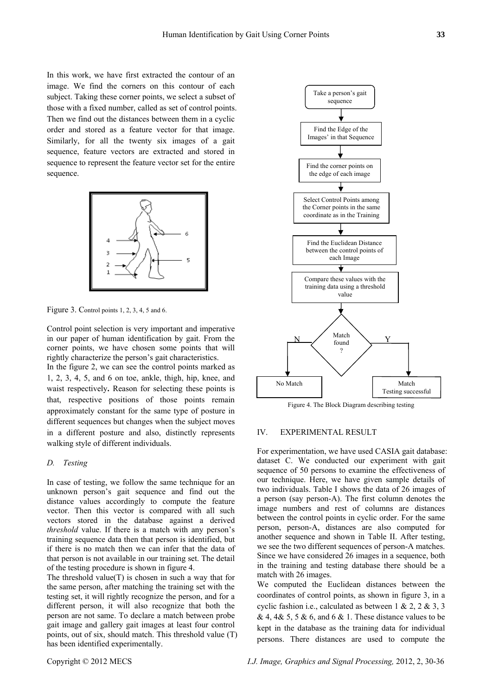In this work, we have first extracted the contour of an image. We find the corners on this contour of each subject. Taking these corner points, we select a subset of those with a fixed number, called as set of control points. Then we find out the distances between them in a cyclic order and stored as a feature vector for that image. Similarly, for all the twenty six images of a gait sequence, feature vectors are extracted and stored in sequence to represent the feature vector set for the entire sequence.



Figure 3. Control points 1, 2, 3, 4, 5 and 6.

Control point selection is very important and imperative in our paper of human identification by gait. From the corner points, we have chosen some points that will rightly characterize the person's gait characteristics.

In the figure 2, we can see the control points marked as 1, 2, 3, 4, 5, and 6 on toe, ankle, thigh, hip, knee, and waist respectively**.** Reason for selecting these points is that, respective positions of those points remain approximately constant for the same type of posture in different sequences but changes when the subject moves in a different posture and also, distinctly represents walking style of different individuals.

### *D. Testing*

In case of testing, we follow the same technique for an unknown person's gait sequence and find out the distance values accordingly to compute the feature vector. Then this vector is compared with all such vectors stored in the database against a derived *threshold* value. If there is a match with any person's training sequence data then that person is identified, but if there is no match then we can infer that the data of that person is not available in our training set. The detail of the testing procedure is shown in figure 4.

The threshold value $(T)$  is chosen in such a way that for the same person, after matching the training set with the testing set, it will rightly recognize the person, and for a different person, it will also recognize that both the person are not same. To declare a match between probe gait image and gallery gait images at least four control points, out of six, should match. This threshold value (T) has been identified experimentally.



Figure 4. The Block Diagram describing testing

## IV. EXPERIMENTAL RESULT

For experimentation, we have used CASIA gait database: dataset C. We conducted our experiment with gait sequence of 50 persons to examine the effectiveness of our technique. Here, we have given sample details of two individuals. Table I shows the data of 26 images of a person (say person-A). The first column denotes the image numbers and rest of columns are distances between the control points in cyclic order. For the same person, person-A, distances are also computed for another sequence and shown in Table II. After testing, we see the two different sequences of person-A matches. Since we have considered 26 images in a sequence, both in the training and testing database there should be a match with 26 images.

We computed the Euclidean distances between the coordinates of control points, as shown in figure 3, in a cyclic fashion i.e., calculated as between 1 & 2, 2 & 3, 3 & 4, 4& 5, 5 & 6, and 6 & 1. These distance values to be kept in the database as the training data for individual persons. There distances are used to compute the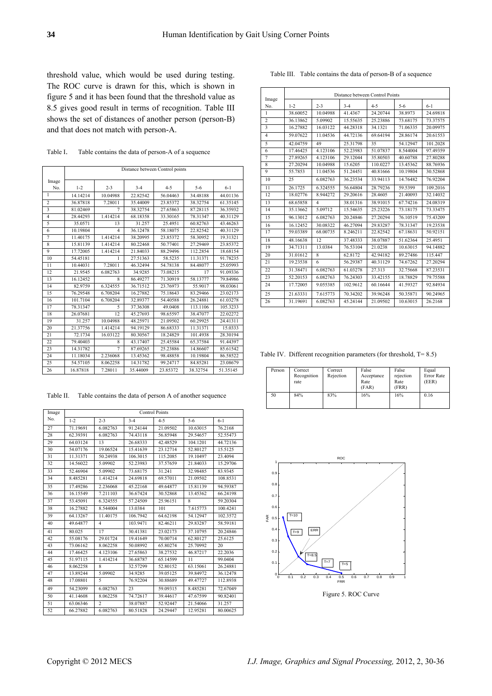threshold value, which would be used during testing. The ROC curve is drawn for this, which is shown in figure 5 and it has been found that the threshold value as 8.5 gives good result in terms of recognition. Table III shows the set of distances of another person (person-B) and that does not match with person-A.

Table I. Table contains the data of person-A of a sequence

|                         | Distance between Control points |                |          |          |          |          |
|-------------------------|---------------------------------|----------------|----------|----------|----------|----------|
| Image                   |                                 |                |          |          |          |          |
| No.                     | $1 - 2$                         | $2 - 3$        | $3 - 4$  | $4 - 5$  | $5 - 6$  | $6 - 1$  |
| 1                       | 14.14214                        | 10.04988       | 22.82542 | 56.04463 | 34.48188 | 44.01136 |
| $\overline{2}$          | 36.87818                        | 7.28011        | 35.44009 | 23.85372 | 38.32754 | 61.35145 |
| $\overline{\mathbf{3}}$ | 81.02469                        | $\overline{7}$ | 38.32754 | 27.65863 | 87.28115 | 36.35932 |
| $\overline{4}$          | 28.44293                        | 1.414214       | 68.18358 | 33.30165 | 78.31347 | 40.31129 |
| 5                       | 35.0571                         | 13             | 31.257   | 25.4951  | 60.82763 | 43.46263 |
| 6                       | 10.19804                        | $\overline{4}$ | 36.12478 | 58.18075 | 22.82542 | 40.31129 |
| 7                       | 11.40175                        | 1.414214       | 38.20995 | 23.85372 | 58.30952 | 19.31321 |
| 8                       | 15.81139                        | 1.414214       | 80.22468 | 50.77401 | 27.29469 | 23.85372 |
| $\overline{9}$          | 17.72005                        | 1.414214       | 21.84033 | 88.29496 | 112.2854 | 18.68154 |
| 10                      | 54.45181                        | 1              | 27.51363 | 58.5235  | 11.31371 | 91.78235 |
| $\overline{11}$         | 10.44031                        | 7.28011        | 46.32494 | 54.78138 | 84.48077 | 25.05993 |
| 12                      | 21.9545                         | 6.082763       | 34.9285  | 73.08215 | 17       | 91.09336 |
| 13                      | 16.12452                        | 8              | 86.49277 | 71.30919 | 58.13777 | 79.84986 |
| 14                      | 82.9759                         | 6.324555       | 36.71512 | 23.76973 | 55.9017  | 98.03061 |
| 15                      | 76.29548                        | 6.708204       | 16.27882 | 75.18643 | 83.29466 | 23.02173 |
| 16                      | 101.7104                        | 6.708204       | 32.89377 | 54.40588 | 26.24881 | 61.03278 |
| 17                      | 78.31347                        | 5              | 37.36308 | 49.0408  | 113.1106 | 105.3233 |
| 18                      | 26.07681                        | 12             | 45.27693 | 98.65597 | 38.47077 | 22.02272 |
| 19                      | 31.257                          | 10.04988       | 48.25971 | 21.09502 | 60.29925 | 24.41311 |
| 20                      | 21.37756                        | 1.414214       | 94.19129 | 86.68333 | 11.31371 | 15.0333  |
| 21                      | 72.1734                         | 16.03122       | 80.30567 | 18.24829 | 101.4938 | 28.30194 |
| 22                      | 79.40403                        | 8              | 43.17407 | 25.45584 | 65.37584 | 91.44397 |
| 23                      | 14.31782                        | 7              | 87.69265 | 25.23886 | 14.86607 | 85.61542 |
| 24                      | 11.18034                        | 2.236068       | 13.45362 | 98.48858 | 10.19804 | 86.58522 |
| 25                      | 54.57105                        | 8.062258       | 14.31782 | 99.24717 | 84.85281 | 23.08679 |
| 26                      | 16.87818                        | 7.28011        | 35.44009 | 23.85372 | 38.32754 | 51.35145 |

Table II. Table contains the data of person A of another sequence

| Image | <b>Control Points</b> |                |          |          |          |          |  |
|-------|-----------------------|----------------|----------|----------|----------|----------|--|
| No.   | $1 - 2$               | $2 - 3$        | $3 - 4$  | $4 - 5$  | $5 - 6$  | $6 - 1$  |  |
| 27    | 71.19691              | 6.082763       | 91.24144 | 21.09502 | 10.63015 | 76.2168  |  |
| 28    | 62.39391              | 6.082763       | 74.43118 | 56.85948 | 29.54657 | 52.55473 |  |
| 29    | 64.03124              | 13             | 26.68333 | 42.48529 | 104.1201 | 44.72136 |  |
| 30    | 54.07176              | 19.06524       | 15.41639 | 23.12714 | 52.80127 | 15.5125  |  |
| 31    | 11.31371              | 50.24938       | 106.3015 | 115.2085 | 19.10497 | 23.4094  |  |
| 32    | 14.56022              | 5.09902        | 52.23983 | 37.57659 | 21.84033 | 15.29706 |  |
| 33    | 52.46904              | 5.09902        | 73.68175 | 31.241   | 32.98485 | 83.9345  |  |
| 34    | 8.485281              | 1.414214       | 24.69818 | 69.57011 | 21.09502 | 108.8531 |  |
| 35    | 17.49286              | 2.236068       | 45.22168 | 49.64877 | 15.81139 | 94.59387 |  |
| 36    | 16.15549              | 7.211103       | 36.67424 | 30.52868 | 13.45362 | 66.24198 |  |
| 37    | 53.45091              | 6.324555       | 57.24509 | 25.96151 | 8        | 59.20304 |  |
| 38    | 16.27882              | 8.544004       | 13.0384  | 101      | 7.615773 | 100.4241 |  |
| 39    | 64.13267              | 11.40175       | 106.7942 | 64.62198 | 54.12947 | 102.3572 |  |
| 40    | 49.64877              | $\overline{4}$ | 103.9471 | 82.46211 | 29.83287 | 58.59181 |  |
| 41    | 80.025                | 17             | 30.41381 | 23.02173 | 37.10795 | 20.24846 |  |
| 42    | 55.08176              | 29.01724       | 19.41649 | 70.00714 | 62.80127 | 25.6125  |  |
| 43    | 73.06162              | 8.062258       | 50.08992 | 65.80274 | 25.70992 | 20       |  |
| 44    | 17.46425              | 4.123106       | 27.65863 | 38.27532 | 46.87217 | 22.2036  |  |
| 45    | 51.97115              | 1.414214       | 36.68787 | 65.14599 | 11       | 99.0404  |  |
| 46    | 8.062258              | 8              | 32.57299 | 52.80152 | 63.15061 | 26.24881 |  |
| 47    | 13.89244              | 5.09902        | 34.9285  | 39.05125 | 39.84972 | 36.12478 |  |
| 48    | 17.08801              | 5              | 76.92204 | 30.88689 | 49.47727 | 112.8938 |  |
| 49    | 54.23099              | 6.082763       | 23       | 59.09315 | 8.485281 | 72.67049 |  |
| 50    | 41.14608              | 8.062258       | 74.72617 | 39.44617 | 47.67599 | 90.82401 |  |
| 51    | 63.06346              | $\overline{2}$ | 38.07887 | 52.92447 | 21.54066 | 31.257   |  |
| 52    | 66.27882              | 6.082763       | 80.51828 | 24.29447 | 12.95281 | 80.00625 |  |

|                         | Distance between Control Points |                         |          |          |           |          |
|-------------------------|---------------------------------|-------------------------|----------|----------|-----------|----------|
| Image<br>No.            | $1 - 2$                         | $2 - 3$                 | $3 - 4$  | $4 - 5$  | $5 - 6$   | $6 - 1$  |
| 1                       | 38.60052                        | 10.04988                | 41.4367  | 24.20744 | 38.8973   | 24.69818 |
| $\overline{c}$          | 36.13862                        | 5 09902                 | 15.55635 | 25.23886 | 73.68175  | 73.37575 |
| $\overline{\mathbf{3}}$ | 16.27882                        | 16.03122                | 44.28318 | 34.1321  | 71.06335  | 20.09975 |
| $\overline{4}$          | 59.07622                        | 11.04536                | 44.72136 | 69.64194 | 28.86174  | 20.61553 |
| 5                       | 42.04759                        | 49                      | 25.31798 | 35       | 54 12947  | 101.2028 |
| 6                       | 17.46425                        | 4.123106                | 52.23983 | 51.07837 | 8.544004  | 97.49359 |
| 7                       | 27.89265                        | 4.123106                | 29.12044 | 35.80503 | 40.60788  | 27.80288 |
| 8                       | 27.20294                        | 10.04988                | 15.6205  | 110.0227 | 13.45362  | 88.76936 |
| 9                       | 55.7853                         | 11.04536                | 51.24451 | 40.81666 | 10.19804  | 30.52868 |
| 10                      | 25                              | 6.082763                | 36.23534 | 33.94113 | 14 76482  | 76.92204 |
| 11                      | 26.1725                         | 6.324555                | 56.64804 | 28.79236 | 59.5399   | 109.2016 |
| 12                      | 18.02776                        | 8.944272                | 29.20616 | 28.4605  | 21.40093  | 32.14032 |
| 13                      | 68.65858                        | $\overline{\mathbf{4}}$ | 38.01316 | 38.91015 | 67.74216  | 24.08319 |
| 14                      | 35.13662                        | 5.09712                 | 15.54635 | 25.23226 | 73.18175  | 73.33475 |
| 15                      | 96.13012                        | 6 082763                | 20.24846 | 27.20294 | 76.10519  | 75.43209 |
| 16                      | 16 12 452                       | 30 08322                | 46.27094 | 2983287  | 78 31 347 | 19.23538 |
| 17                      | 59.03389                        | 68.00735                | 8.246211 | 22 82542 | 67.18631  | 50.92151 |
| 18                      | 48.16638                        | 12                      | 37.48333 | 38.07887 | 51.62364  | 25.4951  |
| 19                      | 34.71311                        | 13.0384                 | 76.53104 | 21.0238  | 10.63015  | 94.14882 |
| 20                      | 31.01612                        | 8                       | 62.8172  | 42.94182 | 89.27486  | 115.447  |
| 21                      | 19.23538                        | 6                       | 56.29387 | 40.31129 | 74.67262  | 27.20294 |
| 22                      | 31.38471                        | 6.082763                | 61.03278 | 27.313   | 32.75668  | 87.23531 |
| 23                      | 52 20153                        | 6 082763                | 76 24303 | 33 42155 | 1878829   | 79.75588 |
| 24                      | 17.72005                        | 9.055385                | 102.9612 | 60.16644 | 41.59327  | 92.84934 |
| 25                      | 21.63331                        | 7.615773                | 70.34202 | 39 96248 | 50.35871  | 90.24965 |
| 26                      | 31.19691                        | 6.082763                | 45.24144 | 21.09502 | 10.63015  | 26.2168  |

Table III. Table contains the data of person-B of a sequence

Table IV. Different recognition parameters (for threshold, T= 8.5)

| Person | Correct<br>Recognition<br>rate | Correct<br>Rejection | False<br>Acceptance<br>Rate<br>(FAR) | False<br>rejection<br>Rate<br>(FRR) | Equal<br>Error Rate<br>(EER) |
|--------|--------------------------------|----------------------|--------------------------------------|-------------------------------------|------------------------------|
| 50     | 84%                            | 83%                  | 16%                                  | 16%                                 | 0.16                         |



Figure 5. ROC Curve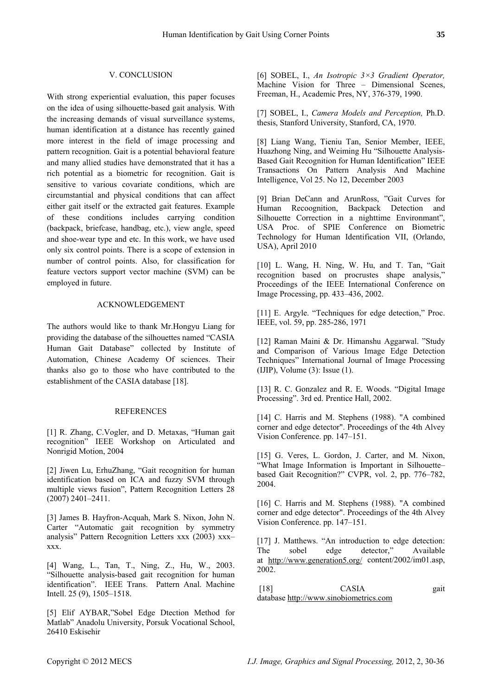# V. CONCLUSION

With strong experiential evaluation, this paper focuses on the idea of using silhouette-based gait analysis. With the increasing demands of visual surveillance systems, human identification at a distance has recently gained more interest in the field of image processing and pattern recognition. Gait is a potential behavioral feature and many allied studies have demonstrated that it has a rich potential as a biometric for recognition. Gait is sensitive to various covariate conditions, which are circumstantial and physical conditions that can affect either gait itself or the extracted gait features. Example of these conditions includes carrying condition (backpack, briefcase, handbag, etc.), view angle, speed and shoe-wear type and etc. In this work, we have used only six control points. There is a scope of extension in number of control points. Also, for classification for feature vectors support vector machine (SVM) can be employed in future.

# ACKNOWLEDGEMENT

The authors would like to thank Mr.Hongyu Liang for providing the database of the silhouettes named "CASIA Human Gait Database" collected by Institute of Automation, Chinese Academy Of sciences. Their thanks also go to those who have contributed to the establishment of the CASIA database [18].

# **REFERENCES**

[1] R. Zhang, C.Vogler, and D. Metaxas, "Human gait recognition" IEEE Workshop on Articulated and Nonrigid Motion, 2004

[2] Jiwen Lu, ErhuZhang, "Gait recognition for human identification based on ICA and fuzzy SVM through multiple views fusion", Pattern Recognition Letters 28 (2007) 2401–2411.

[3] James B. Hayfron-Acquah, Mark S. Nixon, John N. Carter "Automatic gait recognition by symmetry analysis" Pattern Recognition Letters xxx (2003) xxx– xxx.

[4] Wang, L., Tan, T., Ning, Z., Hu, W., 2003. "Silhouette analysis-based gait recognition for human identification". IEEE Trans. Pattern Anal. Machine Intell. 25 (9), 1505–1518.

[5] Elif AYBAR,"Sobel Edge Dtection Method for Matlab" Anadolu University, Porsuk Vocational School, 26410 Eskisehir

[6] SOBEL, I., *An Isotropic 3×3 Gradient Operator,*  Machine Vision for Three – Dimensional Scenes, Freeman, H., Academic Pres, NY, 376-379, 1990.

[7] SOBEL, I., *Camera Models and Perception,* Ph.D. thesis, Stanford University, Stanford, CA, 1970.

[8] Liang Wang, Tieniu Tan, Senior Member, IEEE, Huazhong Ning, and Weiming Hu "Silhouette Analysis-Based Gait Recognition for Human Identification" IEEE Transactions On Pattern Analysis And Machine Intelligence, Vol 25. No 12, December 2003

[9] Brian DeCann and ArunRoss, "Gait Curves for Human Recoognition, Backpack Detection and Silhouette Correction in a nighttime Environmant", USA Proc. of SPIE Conference on Biometric Technology for Human Identification VII, (Orlando, USA), April 2010

[10] L. Wang, H. Ning, W. Hu, and T. Tan, "Gait recognition based on procrustes shape analysis," Proceedings of the IEEE International Conference on Image Processing, pp. 433–436, 2002.

[11] E. Argyle. "Techniques for edge detection." Proc. IEEE, vol. 59, pp. 285-286, 1971

[12] Raman Maini & Dr. Himanshu Aggarwal. "Study and Comparison of Various Image Edge Detection Techniques" International Journal of Image Processing (IJIP), Volume (3): Issue (1).

[13] R. C. Gonzalez and R. E. Woods. "Digital Image Processing". 3rd ed. Prentice Hall, 2002.

[14] C. Harris and M. Stephens (1988). "A combined corner and edge detector". Proceedings of the 4th Alvey Vision Conference. pp. 147–151.

[15] G. Veres, L. Gordon, J. Carter, and M. Nixon, "What Image Information is Important in Silhouette– based Gait Recognition?" CVPR, vol. 2, pp. 776–782, 2004.

[16] C. Harris and M. Stephens (1988). "A combined corner and edge detector". Proceedings of the 4th Alvey Vision Conference. pp. 147–151.

[17] J. Matthews. "An introduction to edge detection: The sobel edge detector," Available at <http://www.generation5.org/>content/2002/im01.asp, 2002.

[18] CASIA gait database [http://www.sinobiometric](http://www.sinobiometrics.com/)s.com